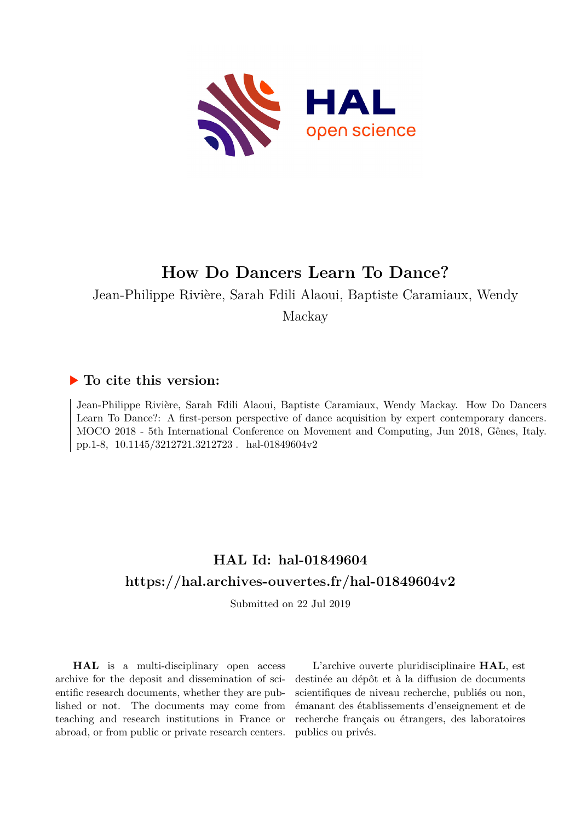

# **How Do Dancers Learn To Dance?**

Jean-Philippe Rivière, Sarah Fdili Alaoui, Baptiste Caramiaux, Wendy

Mackay

# **To cite this version:**

Jean-Philippe Rivière, Sarah Fdili Alaoui, Baptiste Caramiaux, Wendy Mackay. How Do Dancers Learn To Dance?: A first-person perspective of dance acquisition by expert contemporary dancers. MOCO 2018 - 5th International Conference on Movement and Computing, Jun 2018, Gênes, Italy. pp.1-8, 10.1145/3212721.3212723. hal-01849604v2

# **HAL Id: hal-01849604 <https://hal.archives-ouvertes.fr/hal-01849604v2>**

Submitted on 22 Jul 2019

**HAL** is a multi-disciplinary open access archive for the deposit and dissemination of scientific research documents, whether they are published or not. The documents may come from teaching and research institutions in France or abroad, or from public or private research centers.

L'archive ouverte pluridisciplinaire **HAL**, est destinée au dépôt et à la diffusion de documents scientifiques de niveau recherche, publiés ou non, émanant des établissements d'enseignement et de recherche français ou étrangers, des laboratoires publics ou privés.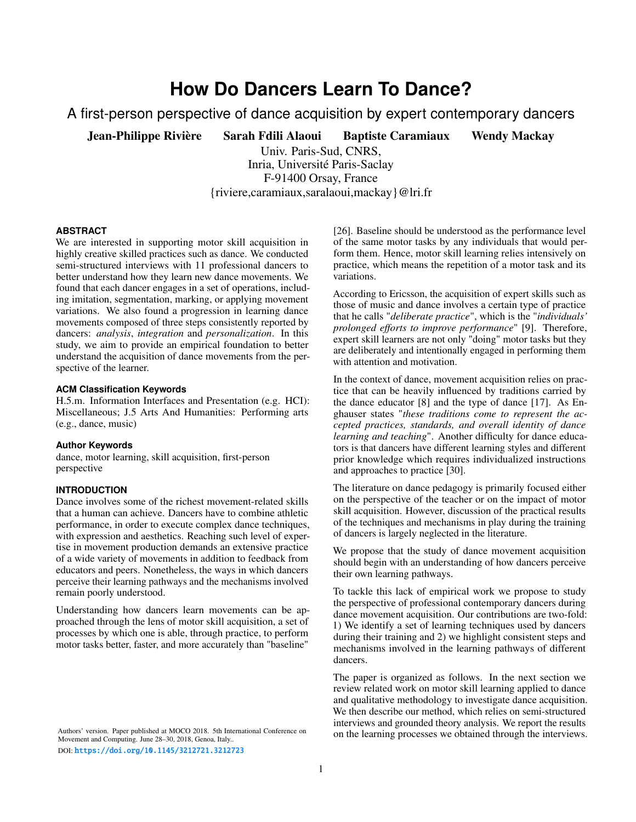# **How Do Dancers Learn To Dance?**

A first-person perspective of dance acquisition by expert contemporary dancers

Jean-Philippe Rivière Sarah Fdili Alaoui Baptiste Caramiaux Wendy Mackay

Univ. Paris-Sud, CNRS,

Inria, Université Paris-Saclay F-91400 Orsay, France

{riviere,caramiaux,saralaoui,mackay}@lri.fr

# **ABSTRACT**

We are interested in supporting motor skill acquisition in highly creative skilled practices such as dance. We conducted semi-structured interviews with 11 professional dancers to better understand how they learn new dance movements. We found that each dancer engages in a set of operations, including imitation, segmentation, marking, or applying movement variations. We also found a progression in learning dance movements composed of three steps consistently reported by dancers: *analysis*, *integration* and *personalization*. In this study, we aim to provide an empirical foundation to better understand the acquisition of dance movements from the perspective of the learner.

# **ACM Classification Keywords**

H.5.m. Information Interfaces and Presentation (e.g. HCI): Miscellaneous; J.5 Arts And Humanities: Performing arts (e.g., dance, music)

# **Author Keywords**

dance, motor learning, skill acquisition, first-person perspective

# **INTRODUCTION**

Dance involves some of the richest movement-related skills that a human can achieve. Dancers have to combine athletic performance, in order to execute complex dance techniques, with expression and aesthetics. Reaching such level of expertise in movement production demands an extensive practice of a wide variety of movements in addition to feedback from educators and peers. Nonetheless, the ways in which dancers perceive their learning pathways and the mechanisms involved remain poorly understood.

Understanding how dancers learn movements can be approached through the lens of motor skill acquisition, a set of processes by which one is able, through practice, to perform motor tasks better, faster, and more accurately than "baseline"

Authors' version. Paper published at MOCO 2018. 5th International Conference on Movement and Computing. June 28–30, 2018, Genoa, Italy.. DOI: <https://doi.org/10.1145/3212721.3212723>

[26]. Baseline should be understood as the performance level of the same motor tasks by any individuals that would perform them. Hence, motor skill learning relies intensively on practice, which means the repetition of a motor task and its variations.

According to Ericsson, the acquisition of expert skills such as those of music and dance involves a certain type of practice that he calls "*deliberate practice*", which is the "*individuals' prolonged efforts to improve performance*" [9]. Therefore, expert skill learners are not only "doing" motor tasks but they are deliberately and intentionally engaged in performing them with attention and motivation.

In the context of dance, movement acquisition relies on practice that can be heavily influenced by traditions carried by the dance educator [8] and the type of dance [17]. As Enghauser states "*these traditions come to represent the accepted practices, standards, and overall identity of dance learning and teaching*". Another difficulty for dance educators is that dancers have different learning styles and different prior knowledge which requires individualized instructions and approaches to practice [30].

The literature on dance pedagogy is primarily focused either on the perspective of the teacher or on the impact of motor skill acquisition. However, discussion of the practical results of the techniques and mechanisms in play during the training of dancers is largely neglected in the literature.

We propose that the study of dance movement acquisition should begin with an understanding of how dancers perceive their own learning pathways.

To tackle this lack of empirical work we propose to study the perspective of professional contemporary dancers during dance movement acquisition. Our contributions are two-fold: 1) We identify a set of learning techniques used by dancers during their training and 2) we highlight consistent steps and mechanisms involved in the learning pathways of different dancers.

The paper is organized as follows. In the next section we review related work on motor skill learning applied to dance and qualitative methodology to investigate dance acquisition. We then describe our method, which relies on semi-structured interviews and grounded theory analysis. We report the results on the learning processes we obtained through the interviews.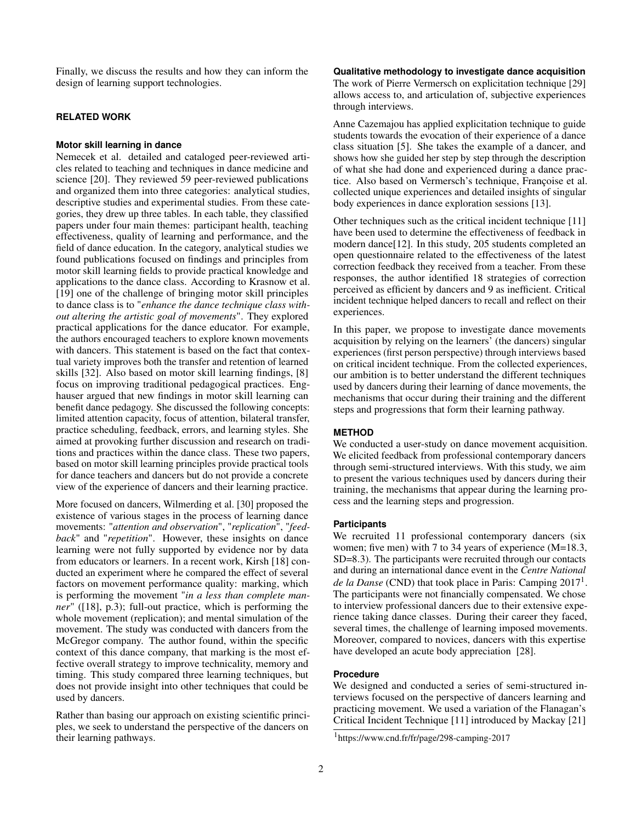Finally, we discuss the results and how they can inform the design of learning support technologies.

#### **RELATED WORK**

#### **Motor skill learning in dance**

Nemecek et al. detailed and cataloged peer-reviewed articles related to teaching and techniques in dance medicine and science [20]. They reviewed 59 peer-reviewed publications and organized them into three categories: analytical studies, descriptive studies and experimental studies. From these categories, they drew up three tables. In each table, they classified papers under four main themes: participant health, teaching effectiveness, quality of learning and performance, and the field of dance education. In the category, analytical studies we found publications focused on findings and principles from motor skill learning fields to provide practical knowledge and applications to the dance class. According to Krasnow et al. [19] one of the challenge of bringing motor skill principles to dance class is to "*enhance the dance technique class without altering the artistic goal of movements*". They explored practical applications for the dance educator. For example, the authors encouraged teachers to explore known movements with dancers. This statement is based on the fact that contextual variety improves both the transfer and retention of learned skills [32]. Also based on motor skill learning findings, [8] focus on improving traditional pedagogical practices. Enghauser argued that new findings in motor skill learning can benefit dance pedagogy. She discussed the following concepts: limited attention capacity, focus of attention, bilateral transfer, practice scheduling, feedback, errors, and learning styles. She aimed at provoking further discussion and research on traditions and practices within the dance class. These two papers, based on motor skill learning principles provide practical tools for dance teachers and dancers but do not provide a concrete view of the experience of dancers and their learning practice.

More focused on dancers, Wilmerding et al. [30] proposed the existence of various stages in the process of learning dance movements: "*attention and observation*", "*replication*", "*feedback*" and "*repetition*". However, these insights on dance learning were not fully supported by evidence nor by data from educators or learners. In a recent work, Kirsh [18] conducted an experiment where he compared the effect of several factors on movement performance quality: marking, which is performing the movement "*in a less than complete manner*" ([18], p.3); full-out practice, which is performing the whole movement (replication); and mental simulation of the movement. The study was conducted with dancers from the McGregor company. The author found, within the specific context of this dance company, that marking is the most effective overall strategy to improve technicality, memory and timing. This study compared three learning techniques, but does not provide insight into other techniques that could be used by dancers.

Rather than basing our approach on existing scientific principles, we seek to understand the perspective of the dancers on their learning pathways.

# **Qualitative methodology to investigate dance acquisition**

The work of Pierre Vermersch on explicitation technique [29] allows access to, and articulation of, subjective experiences through interviews.

Anne Cazemajou has applied explicitation technique to guide students towards the evocation of their experience of a dance class situation [5]. She takes the example of a dancer, and shows how she guided her step by step through the description of what she had done and experienced during a dance practice. Also based on Vermersch's technique, Françoise et al. collected unique experiences and detailed insights of singular body experiences in dance exploration sessions [13].

Other techniques such as the critical incident technique [11] have been used to determine the effectiveness of feedback in modern dance[12]. In this study, 205 students completed an open questionnaire related to the effectiveness of the latest correction feedback they received from a teacher. From these responses, the author identified 18 strategies of correction perceived as efficient by dancers and 9 as inefficient. Critical incident technique helped dancers to recall and reflect on their experiences.

In this paper, we propose to investigate dance movements acquisition by relying on the learners' (the dancers) singular experiences (first person perspective) through interviews based on critical incident technique. From the collected experiences, our ambition is to better understand the different techniques used by dancers during their learning of dance movements, the mechanisms that occur during their training and the different steps and progressions that form their learning pathway.

#### **METHOD**

We conducted a user-study on dance movement acquisition. We elicited feedback from professional contemporary dancers through semi-structured interviews. With this study, we aim to present the various techniques used by dancers during their training, the mechanisms that appear during the learning process and the learning steps and progression.

#### **Participants**

We recruited 11 professional contemporary dancers (six women; five men) with 7 to 34 years of experience (M=18.3, SD=8.3). The participants were recruited through our contacts and during an international dance event in the *Centre National de la Danse* (CND) that took place in Paris: Camping 20171 . The participants were not financially compensated. We chose to interview professional dancers due to their extensive experience taking dance classes. During their career they faced, several times, the challenge of learning imposed movements. Moreover, compared to novices, dancers with this expertise have developed an acute body appreciation [28].

# **Procedure**

We designed and conducted a series of semi-structured interviews focused on the perspective of dancers learning and practicing movement. We used a variation of the Flanagan's Critical Incident Technique [11] introduced by Mackay [21]

<sup>1</sup> https://www.cnd.fr/fr/page/298-camping-2017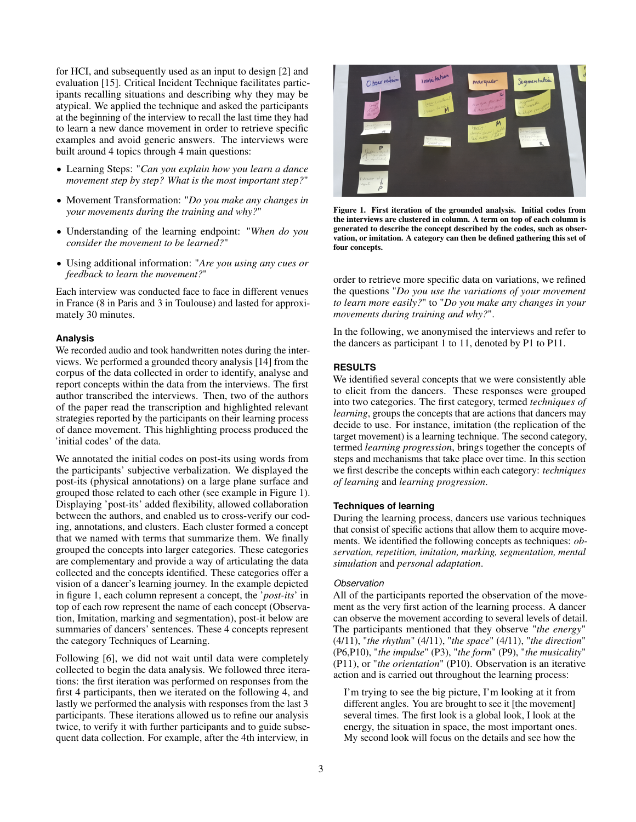for HCI, and subsequently used as an input to design [2] and evaluation [15]. Critical Incident Technique facilitates participants recalling situations and describing why they may be atypical. We applied the technique and asked the participants at the beginning of the interview to recall the last time they had to learn a new dance movement in order to retrieve specific examples and avoid generic answers. The interviews were built around 4 topics through 4 main questions:

- Learning Steps: "*Can you explain how you learn a dance movement step by step? What is the most important step?*"
- Movement Transformation: "*Do you make any changes in your movements during the training and why?*"
- Understanding of the learning endpoint: "*When do you consider the movement to be learned?*"
- Using additional information: "*Are you using any cues or feedback to learn the movement?*"

Each interview was conducted face to face in different venues in France (8 in Paris and 3 in Toulouse) and lasted for approximately 30 minutes.

# **Analysis**

We recorded audio and took handwritten notes during the interviews. We performed a grounded theory analysis [14] from the corpus of the data collected in order to identify, analyse and report concepts within the data from the interviews. The first author transcribed the interviews. Then, two of the authors of the paper read the transcription and highlighted relevant strategies reported by the participants on their learning process of dance movement. This highlighting process produced the 'initial codes' of the data.

We annotated the initial codes on post-its using words from the participants' subjective verbalization. We displayed the post-its (physical annotations) on a large plane surface and grouped those related to each other (see example in Figure 1). Displaying 'post-its' added flexibility, allowed collaboration between the authors, and enabled us to cross-verify our coding, annotations, and clusters. Each cluster formed a concept that we named with terms that summarize them. We finally grouped the concepts into larger categories. These categories are complementary and provide a way of articulating the data collected and the concepts identified. These categories offer a vision of a dancer's learning journey. In the example depicted in figure 1, each column represent a concept, the '*post-its*' in top of each row represent the name of each concept (Observation, Imitation, marking and segmentation), post-it below are summaries of dancers' sentences. These 4 concepts represent the category Techniques of Learning.

Following [6], we did not wait until data were completely collected to begin the data analysis. We followed three iterations: the first iteration was performed on responses from the first 4 participants, then we iterated on the following 4, and lastly we performed the analysis with responses from the last 3 participants. These iterations allowed us to refine our analysis twice, to verify it with further participants and to guide subsequent data collection. For example, after the 4th interview, in



Figure 1. First iteration of the grounded analysis. Initial codes from the interviews are clustered in column. A term on top of each column is generated to describe the concept described by the codes, such as observation, or imitation. A category can then be defined gathering this set of four concepts.

order to retrieve more specific data on variations, we refined the questions "*Do you use the variations of your movement to learn more easily?*" to "*Do you make any changes in your movements during training and why?*".

In the following, we anonymised the interviews and refer to the dancers as participant 1 to 11, denoted by P1 to P11.

# **RESULTS**

We identified several concepts that we were consistently able to elicit from the dancers. These responses were grouped into two categories. The first category, termed *techniques of learning*, groups the concepts that are actions that dancers may decide to use. For instance, imitation (the replication of the target movement) is a learning technique. The second category, termed *learning progression*, brings together the concepts of steps and mechanisms that take place over time. In this section we first describe the concepts within each category: *techniques of learning* and *learning progression*.

# **Techniques of learning**

During the learning process, dancers use various techniques that consist of specific actions that allow them to acquire movements. We identified the following concepts as techniques: *observation, repetition, imitation, marking, segmentation, mental simulation* and *personal adaptation*.

# *Observation*

All of the participants reported the observation of the movement as the very first action of the learning process. A dancer can observe the movement according to several levels of detail. The participants mentioned that they observe "*the energy*" (4/11), "*the rhythm*" (4/11), "*the space*" (4/11), "*the direction*" (P6,P10), "*the impulse*" (P3), "*the form*" (P9), "*the musicality*" (P11), or "*the orientation*" (P10). Observation is an iterative action and is carried out throughout the learning process:

I'm trying to see the big picture, I'm looking at it from different angles. You are brought to see it [the movement] several times. The first look is a global look, I look at the energy, the situation in space, the most important ones. My second look will focus on the details and see how the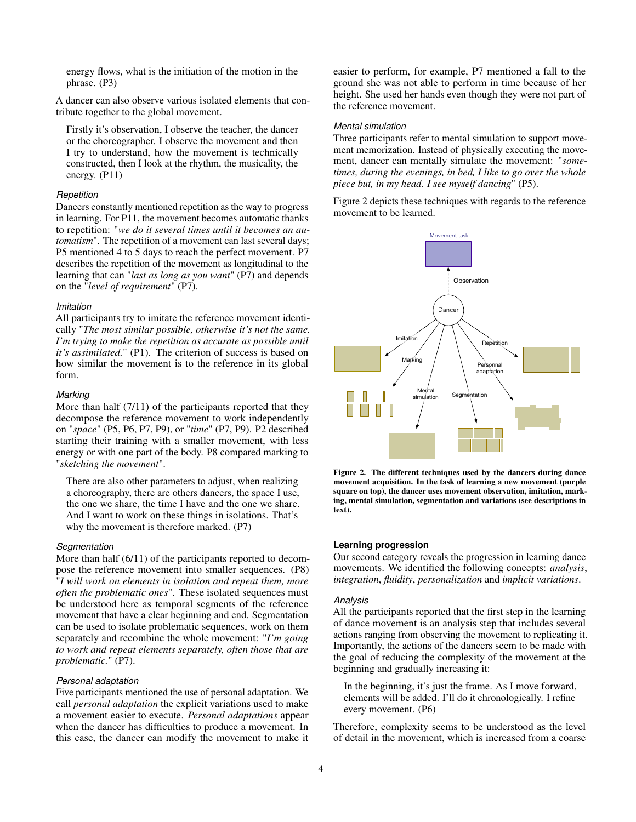energy flows, what is the initiation of the motion in the phrase. (P3)

A dancer can also observe various isolated elements that contribute together to the global movement.

Firstly it's observation, I observe the teacher, the dancer or the choreographer. I observe the movement and then I try to understand, how the movement is technically constructed, then I look at the rhythm, the musicality, the energy. (P11)

#### *Repetition*

Dancers constantly mentioned repetition as the way to progress in learning. For P11, the movement becomes automatic thanks to repetition: "*we do it several times until it becomes an automatism*". The repetition of a movement can last several days; P5 mentioned 4 to 5 days to reach the perfect movement. P7 describes the repetition of the movement as longitudinal to the learning that can "*last as long as you want*" (P7) and depends on the "*level of requirement*" (P7).

#### *Imitation*

All participants try to imitate the reference movement identically "*The most similar possible, otherwise it's not the same. I'm trying to make the repetition as accurate as possible until it's assimilated.*" (P1). The criterion of success is based on how similar the movement is to the reference in its global form.

# *Marking*

More than half (7/11) of the participants reported that they decompose the reference movement to work independently on "*space*" (P5, P6, P7, P9), or "*time*" (P7, P9). P2 described starting their training with a smaller movement, with less energy or with one part of the body. P8 compared marking to "*sketching the movement*".

There are also other parameters to adjust, when realizing a choreography, there are others dancers, the space I use, the one we share, the time I have and the one we share. And I want to work on these things in isolations. That's why the movement is therefore marked. (P7)

# *Segmentation*

More than half (6/11) of the participants reported to decompose the reference movement into smaller sequences. (P8) "*I will work on elements in isolation and repeat them, more often the problematic ones*". These isolated sequences must be understood here as temporal segments of the reference movement that have a clear beginning and end. Segmentation can be used to isolate problematic sequences, work on them separately and recombine the whole movement: "*I'm going to work and repeat elements separately, often those that are problematic.*" (P7).

#### *Personal adaptation*

Five participants mentioned the use of personal adaptation. We call *personal adaptation* the explicit variations used to make a movement easier to execute. *Personal adaptations* appear when the dancer has difficulties to produce a movement. In this case, the dancer can modify the movement to make it

easier to perform, for example, P7 mentioned a fall to the ground she was not able to perform in time because of her height. She used her hands even though they were not part of the reference movement.

#### *Mental simulation*

Three participants refer to mental simulation to support movement memorization. Instead of physically executing the movement, dancer can mentally simulate the movement: "*sometimes, during the evenings, in bed, I like to go over the whole piece but, in my head. I see myself dancing*" (P5).

Figure 2 depicts these techniques with regards to the reference movement to be learned.



Figure 2. The different techniques used by the dancers during dance movement acquisition. In the task of learning a new movement (purple square on top), the dancer uses movement observation, imitation, marking, mental simulation, segmentation and variations (see descriptions in text).

#### **Learning progression**

Our second category reveals the progression in learning dance movements. We identified the following concepts: *analysis*, *integration*, *fluidity*, *personalization* and *implicit variations*.

# *Analysis*

All the participants reported that the first step in the learning of dance movement is an analysis step that includes several actions ranging from observing the movement to replicating it. Importantly, the actions of the dancers seem to be made with the goal of reducing the complexity of the movement at the beginning and gradually increasing it:

In the beginning, it's just the frame. As I move forward, elements will be added. I'll do it chronologically. I refine every movement. (P6)

Therefore, complexity seems to be understood as the level of detail in the movement, which is increased from a coarse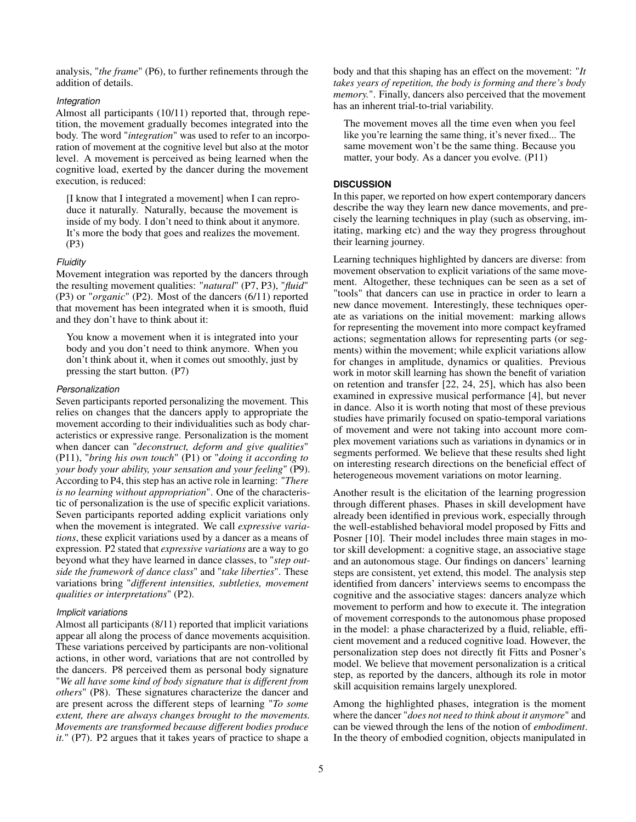analysis, "*the frame*" (P6), to further refinements through the addition of details.

#### *Integration*

Almost all participants (10/11) reported that, through repetition, the movement gradually becomes integrated into the body. The word "*integration*" was used to refer to an incorporation of movement at the cognitive level but also at the motor level. A movement is perceived as being learned when the cognitive load, exerted by the dancer during the movement execution, is reduced:

[I know that I integrated a movement] when I can reproduce it naturally. Naturally, because the movement is inside of my body. I don't need to think about it anymore. It's more the body that goes and realizes the movement. (P3)

#### *Fluidity*

Movement integration was reported by the dancers through the resulting movement qualities: "*natural*" (P7, P3), "*fluid*" (P3) or "*organic*" (P2). Most of the dancers (6/11) reported that movement has been integrated when it is smooth, fluid and they don't have to think about it:

You know a movement when it is integrated into your body and you don't need to think anymore. When you don't think about it, when it comes out smoothly, just by pressing the start button. (P7)

#### *Personalization*

Seven participants reported personalizing the movement. This relies on changes that the dancers apply to appropriate the movement according to their individualities such as body characteristics or expressive range. Personalization is the moment when dancer can "*deconstruct, deform and give qualities*" (P11), "*bring his own touch*" (P1) or "*doing it according to your body your ability, your sensation and your feeling*" (P9). According to P4, this step has an active role in learning: "*There is no learning without appropriation*". One of the characteristic of personalization is the use of specific explicit variations. Seven participants reported adding explicit variations only when the movement is integrated. We call *expressive variations*, these explicit variations used by a dancer as a means of expression. P2 stated that *expressive variations* are a way to go beyond what they have learned in dance classes, to "*step outside the framework of dance class*" and "*take liberties*". These variations bring "*different intensities, subtleties, movement qualities or interpretations*" (P2).

#### *Implicit variations*

Almost all participants (8/11) reported that implicit variations appear all along the process of dance movements acquisition. These variations perceived by participants are non-volitional actions, in other word, variations that are not controlled by the dancers. P8 perceived them as personal body signature "*We all have some kind of body signature that is different from others*" (P8). These signatures characterize the dancer and are present across the different steps of learning "*To some extent, there are always changes brought to the movements. Movements are transformed because different bodies produce it.*" (P7). P2 argues that it takes years of practice to shape a

body and that this shaping has an effect on the movement: "*It takes years of repetition, the body is forming and there's body memory.*". Finally, dancers also perceived that the movement has an inherent trial-to-trial variability.

The movement moves all the time even when you feel like you're learning the same thing, it's never fixed... The same movement won't be the same thing. Because you matter, your body. As a dancer you evolve. (P11)

#### **DISCUSSION**

In this paper, we reported on how expert contemporary dancers describe the way they learn new dance movements, and precisely the learning techniques in play (such as observing, imitating, marking etc) and the way they progress throughout their learning journey.

Learning techniques highlighted by dancers are diverse: from movement observation to explicit variations of the same movement. Altogether, these techniques can be seen as a set of "tools" that dancers can use in practice in order to learn a new dance movement. Interestingly, these techniques operate as variations on the initial movement: marking allows for representing the movement into more compact keyframed actions; segmentation allows for representing parts (or segments) within the movement; while explicit variations allow for changes in amplitude, dynamics or qualities. Previous work in motor skill learning has shown the benefit of variation on retention and transfer [22, 24, 25], which has also been examined in expressive musical performance [4], but never in dance. Also it is worth noting that most of these previous studies have primarily focused on spatio-temporal variations of movement and were not taking into account more complex movement variations such as variations in dynamics or in segments performed. We believe that these results shed light on interesting research directions on the beneficial effect of heterogeneous movement variations on motor learning.

Another result is the elicitation of the learning progression through different phases. Phases in skill development have already been identified in previous work, especially through the well-established behavioral model proposed by Fitts and Posner [10]. Their model includes three main stages in motor skill development: a cognitive stage, an associative stage and an autonomous stage. Our findings on dancers' learning steps are consistent, yet extend, this model. The analysis step identified from dancers' interviews seems to encompass the cognitive and the associative stages: dancers analyze which movement to perform and how to execute it. The integration of movement corresponds to the autonomous phase proposed in the model: a phase characterized by a fluid, reliable, efficient movement and a reduced cognitive load. However, the personalization step does not directly fit Fitts and Posner's model. We believe that movement personalization is a critical step, as reported by the dancers, although its role in motor skill acquisition remains largely unexplored.

Among the highlighted phases, integration is the moment where the dancer "*does not need to think about it anymore*" and can be viewed through the lens of the notion of *embodiment*. In the theory of embodied cognition, objects manipulated in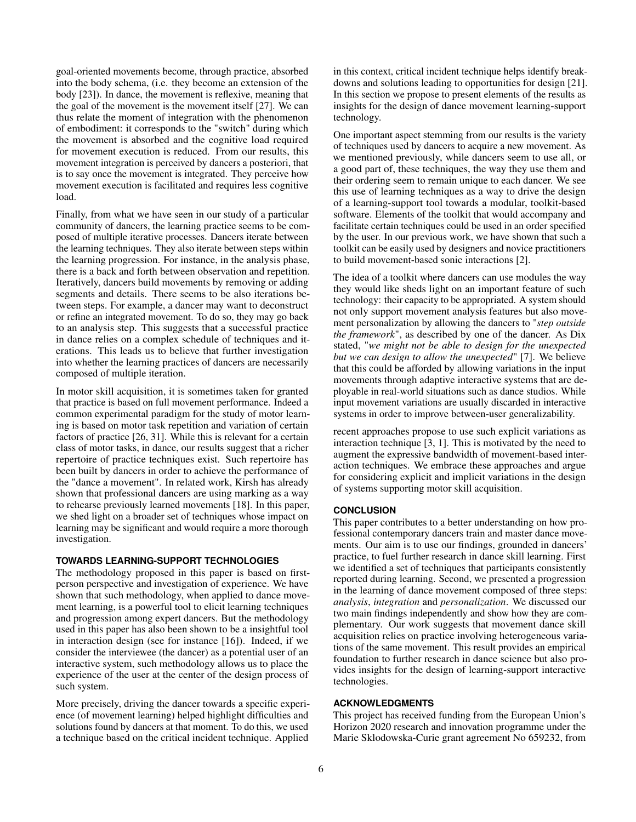goal-oriented movements become, through practice, absorbed into the body schema, (i.e. they become an extension of the body [23]). In dance, the movement is reflexive, meaning that the goal of the movement is the movement itself [27]. We can thus relate the moment of integration with the phenomenon of embodiment: it corresponds to the "switch" during which the movement is absorbed and the cognitive load required for movement execution is reduced. From our results, this movement integration is perceived by dancers a posteriori, that is to say once the movement is integrated. They perceive how movement execution is facilitated and requires less cognitive load.

Finally, from what we have seen in our study of a particular community of dancers, the learning practice seems to be composed of multiple iterative processes. Dancers iterate between the learning techniques. They also iterate between steps within the learning progression. For instance, in the analysis phase, there is a back and forth between observation and repetition. Iteratively, dancers build movements by removing or adding segments and details. There seems to be also iterations between steps. For example, a dancer may want to deconstruct or refine an integrated movement. To do so, they may go back to an analysis step. This suggests that a successful practice in dance relies on a complex schedule of techniques and iterations. This leads us to believe that further investigation into whether the learning practices of dancers are necessarily composed of multiple iteration.

In motor skill acquisition, it is sometimes taken for granted that practice is based on full movement performance. Indeed a common experimental paradigm for the study of motor learning is based on motor task repetition and variation of certain factors of practice [26, 31]. While this is relevant for a certain class of motor tasks, in dance, our results suggest that a richer repertoire of practice techniques exist. Such repertoire has been built by dancers in order to achieve the performance of the "dance a movement". In related work, Kirsh has already shown that professional dancers are using marking as a way to rehearse previously learned movements [18]. In this paper, we shed light on a broader set of techniques whose impact on learning may be significant and would require a more thorough investigation.

#### **TOWARDS LEARNING-SUPPORT TECHNOLOGIES**

The methodology proposed in this paper is based on firstperson perspective and investigation of experience. We have shown that such methodology, when applied to dance movement learning, is a powerful tool to elicit learning techniques and progression among expert dancers. But the methodology used in this paper has also been shown to be a insightful tool in interaction design (see for instance [16]). Indeed, if we consider the interviewee (the dancer) as a potential user of an interactive system, such methodology allows us to place the experience of the user at the center of the design process of such system.

More precisely, driving the dancer towards a specific experience (of movement learning) helped highlight difficulties and solutions found by dancers at that moment. To do this, we used a technique based on the critical incident technique. Applied

in this context, critical incident technique helps identify breakdowns and solutions leading to opportunities for design [21]. In this section we propose to present elements of the results as insights for the design of dance movement learning-support technology.

One important aspect stemming from our results is the variety of techniques used by dancers to acquire a new movement. As we mentioned previously, while dancers seem to use all, or a good part of, these techniques, the way they use them and their ordering seem to remain unique to each dancer. We see this use of learning techniques as a way to drive the design of a learning-support tool towards a modular, toolkit-based software. Elements of the toolkit that would accompany and facilitate certain techniques could be used in an order specified by the user. In our previous work, we have shown that such a toolkit can be easily used by designers and novice practitioners to build movement-based sonic interactions [2].

The idea of a toolkit where dancers can use modules the way they would like sheds light on an important feature of such technology: their capacity to be appropriated. A system should not only support movement analysis features but also movement personalization by allowing the dancers to "*step outside the framework*", as described by one of the dancer. As Dix stated, "*we might not be able to design for the unexpected but we can design to allow the unexpected*" [7]. We believe that this could be afforded by allowing variations in the input movements through adaptive interactive systems that are deployable in real-world situations such as dance studios. While input movement variations are usually discarded in interactive systems in order to improve between-user generalizability.

recent approaches propose to use such explicit variations as interaction technique [3, 1]. This is motivated by the need to augment the expressive bandwidth of movement-based interaction techniques. We embrace these approaches and argue for considering explicit and implicit variations in the design of systems supporting motor skill acquisition.

#### **CONCLUSION**

This paper contributes to a better understanding on how professional contemporary dancers train and master dance movements. Our aim is to use our findings, grounded in dancers' practice, to fuel further research in dance skill learning. First we identified a set of techniques that participants consistently reported during learning. Second, we presented a progression in the learning of dance movement composed of three steps: *analysis*, *integration* and *personalization*. We discussed our two main findings independently and show how they are complementary. Our work suggests that movement dance skill acquisition relies on practice involving heterogeneous variations of the same movement. This result provides an empirical foundation to further research in dance science but also provides insights for the design of learning-support interactive technologies.

#### **ACKNOWLEDGMENTS**

This project has received funding from the European Union's Horizon 2020 research and innovation programme under the Marie Sklodowska-Curie grant agreement No 659232, from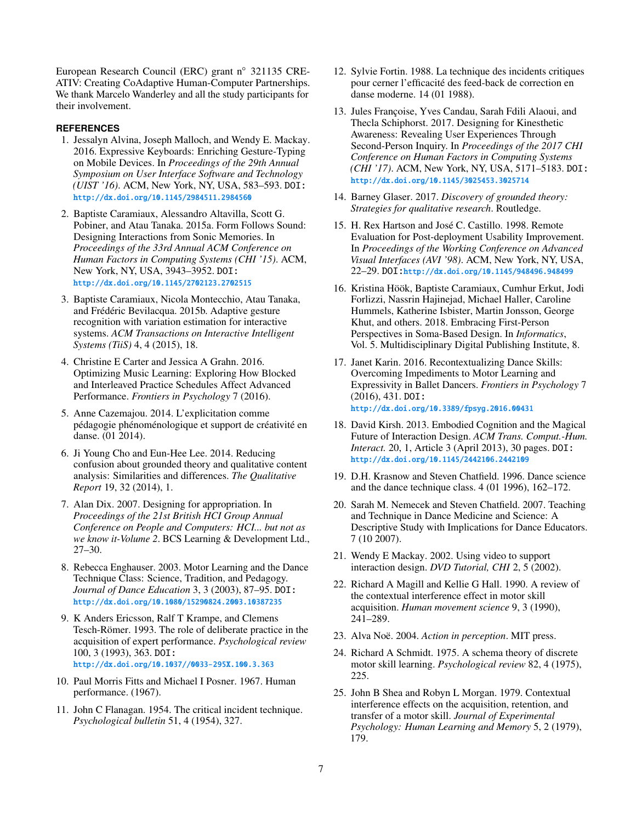European Research Council (ERC) grant n° 321135 CRE-ATIV: Creating CoAdaptive Human-Computer Partnerships. We thank Marcelo Wanderley and all the study participants for their involvement.

# **REFERENCES**

- 1. Jessalyn Alvina, Joseph Malloch, and Wendy E. Mackay. 2016. Expressive Keyboards: Enriching Gesture-Typing on Mobile Devices. In *Proceedings of the 29th Annual Symposium on User Interface Software and Technology (UIST '16)*. ACM, New York, NY, USA, 583–593. DOI: <http://dx.doi.org/10.1145/2984511.2984560>
- 2. Baptiste Caramiaux, Alessandro Altavilla, Scott G. Pobiner, and Atau Tanaka. 2015a. Form Follows Sound: Designing Interactions from Sonic Memories. In *Proceedings of the 33rd Annual ACM Conference on Human Factors in Computing Systems (CHI '15)*. ACM, New York, NY, USA, 3943–3952. DOI: <http://dx.doi.org/10.1145/2702123.2702515>
- 3. Baptiste Caramiaux, Nicola Montecchio, Atau Tanaka, and Frédéric Bevilacqua. 2015b. Adaptive gesture recognition with variation estimation for interactive systems. *ACM Transactions on Interactive Intelligent Systems (TiiS)* 4, 4 (2015), 18.
- 4. Christine E Carter and Jessica A Grahn. 2016. Optimizing Music Learning: Exploring How Blocked and Interleaved Practice Schedules Affect Advanced Performance. *Frontiers in Psychology* 7 (2016).
- 5. Anne Cazemajou. 2014. L'explicitation comme pédagogie phénoménologique et support de créativité en danse. (01 2014).
- 6. Ji Young Cho and Eun-Hee Lee. 2014. Reducing confusion about grounded theory and qualitative content analysis: Similarities and differences. *The Qualitative Report* 19, 32 (2014), 1.
- 7. Alan Dix. 2007. Designing for appropriation. In *Proceedings of the 21st British HCI Group Annual Conference on People and Computers: HCI... but not as we know it-Volume 2*. BCS Learning & Development Ltd., 27–30.
- 8. Rebecca Enghauser. 2003. Motor Learning and the Dance Technique Class: Science, Tradition, and Pedagogy. *Journal of Dance Education* 3, 3 (2003), 87–95. DOI: <http://dx.doi.org/10.1080/15290824.2003.10387235>
- 9. K Anders Ericsson, Ralf T Krampe, and Clemens Tesch-Römer. 1993. The role of deliberate practice in the acquisition of expert performance. *Psychological review* 100, 3 (1993), 363. DOI: <http://dx.doi.org/10.1037//0033-295X.100.3.363>
- 10. Paul Morris Fitts and Michael I Posner. 1967. Human performance. (1967).
- 11. John C Flanagan. 1954. The critical incident technique. *Psychological bulletin* 51, 4 (1954), 327.
- 12. Sylvie Fortin. 1988. La technique des incidents critiques pour cerner l'efficacité des feed-back de correction en danse moderne. 14 (01 1988).
- 13. Jules Françoise, Yves Candau, Sarah Fdili Alaoui, and Thecla Schiphorst. 2017. Designing for Kinesthetic Awareness: Revealing User Experiences Through Second-Person Inquiry. In *Proceedings of the 2017 CHI Conference on Human Factors in Computing Systems (CHI '17)*. ACM, New York, NY, USA, 5171–5183. DOI: <http://dx.doi.org/10.1145/3025453.3025714>
- 14. Barney Glaser. 2017. *Discovery of grounded theory: Strategies for qualitative research*. Routledge.
- 15. H. Rex Hartson and José C. Castillo. 1998. Remote Evaluation for Post-deployment Usability Improvement. In *Proceedings of the Working Conference on Advanced Visual Interfaces (AVI '98)*. ACM, New York, NY, USA, 22–29. DOI:<http://dx.doi.org/10.1145/948496.948499>
- 16. Kristina Höök, Baptiste Caramiaux, Cumhur Erkut, Jodi Forlizzi, Nassrin Hajinejad, Michael Haller, Caroline Hummels, Katherine Isbister, Martin Jonsson, George Khut, and others. 2018. Embracing First-Person Perspectives in Soma-Based Design. In *Informatics*, Vol. 5. Multidisciplinary Digital Publishing Institute, 8.
- 17. Janet Karin. 2016. Recontextualizing Dance Skills: Overcoming Impediments to Motor Learning and Expressivity in Ballet Dancers. *Frontiers in Psychology* 7 (2016), 431. DOI: <http://dx.doi.org/10.3389/fpsyg.2016.00431>
- 18. David Kirsh. 2013. Embodied Cognition and the Magical Future of Interaction Design. *ACM Trans. Comput.-Hum. Interact.* 20, 1, Article 3 (April 2013), 30 pages. DOI: <http://dx.doi.org/10.1145/2442106.2442109>
- 19. D.H. Krasnow and Steven Chatfield. 1996. Dance science and the dance technique class. 4 (01 1996), 162–172.
- 20. Sarah M. Nemecek and Steven Chatfield. 2007. Teaching and Technique in Dance Medicine and Science: A Descriptive Study with Implications for Dance Educators. 7 (10 2007).
- 21. Wendy E Mackay. 2002. Using video to support interaction design. *DVD Tutorial, CHI* 2, 5 (2002).
- 22. Richard A Magill and Kellie G Hall. 1990. A review of the contextual interference effect in motor skill acquisition. *Human movement science* 9, 3 (1990),  $24\overline{1} - 289.$
- 23. Alva Noë. 2004. *Action in perception*. MIT press.
- 24. Richard A Schmidt. 1975. A schema theory of discrete motor skill learning. *Psychological review* 82, 4 (1975), 225.
- 25. John B Shea and Robyn L Morgan. 1979. Contextual interference effects on the acquisition, retention, and transfer of a motor skill. *Journal of Experimental Psychology: Human Learning and Memory* 5, 2 (1979), 179.